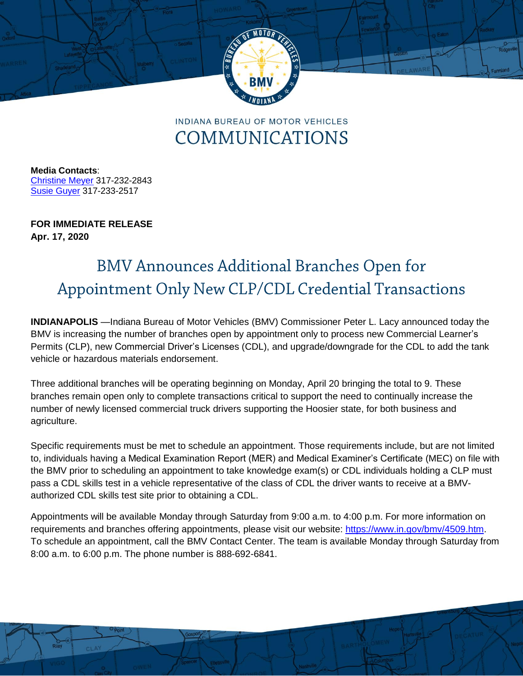

INDIANA BUREAU OF MOTOR VEHICLES COMMUNICATIONS

**Media Contacts**: [Christine Meyer](mailto:chmeyer@bmv.in.gov) 317-232-2843 Susie Guyer 317-233-2517

**FOR IMMEDIATE RELEASE Apr. 17, 2020**

## **BMV Announces Additional Branches Open for** Appointment Only New CLP/CDL Credential Transactions

**INDIANAPOLIS** —Indiana Bureau of Motor Vehicles (BMV) Commissioner Peter L. Lacy announced today the BMV is increasing the number of branches open by appointment only to process new Commercial Learner's Permits (CLP), new Commercial Driver's Licenses (CDL), and upgrade/downgrade for the CDL to add the tank vehicle or hazardous materials endorsement.

Three additional branches will be operating beginning on Monday, April 20 bringing the total to 9. These branches remain open only to complete transactions critical to support the need to continually increase the number of newly licensed commercial truck drivers supporting the Hoosier state, for both business and agriculture.

Specific requirements must be met to schedule an appointment. Those requirements include, but are not limited to, individuals having a Medical Examination Report (MER) and Medical Examiner's Certificate (MEC) on file with the BMV prior to scheduling an appointment to take knowledge exam(s) or CDL individuals holding a CLP must pass a CDL skills test in a vehicle representative of the class of CDL the driver wants to receive at a BMVauthorized CDL skills test site prior to obtaining a CDL.

Appointments will be available Monday through Saturday from 9:00 a.m. to 4:00 p.m. For more information on requirements and branches offering appointments, please visit our website: [https://www.in.gov/bmv/4509.htm.](https://www.in.gov/bmv/4509.htm) To schedule an appointment, call the BMV Contact Center. The team is available Monday through Saturday from 8:00 a.m. to 6:00 p.m. The phone number is 888-692-6841.